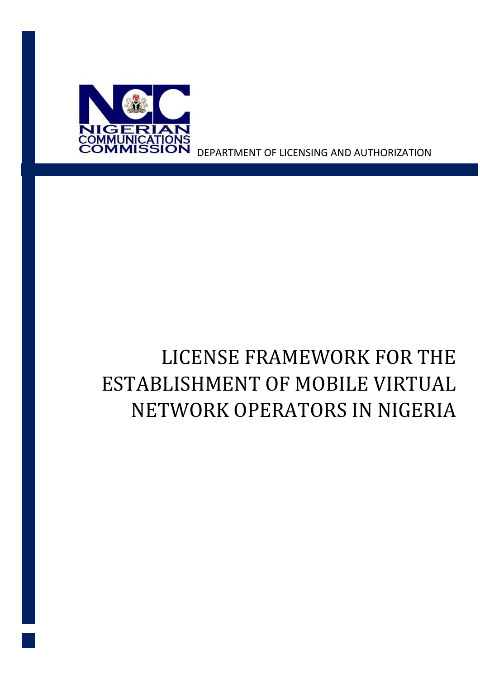

DEPARTMENT OF LICENSING AND AUTHORIZATION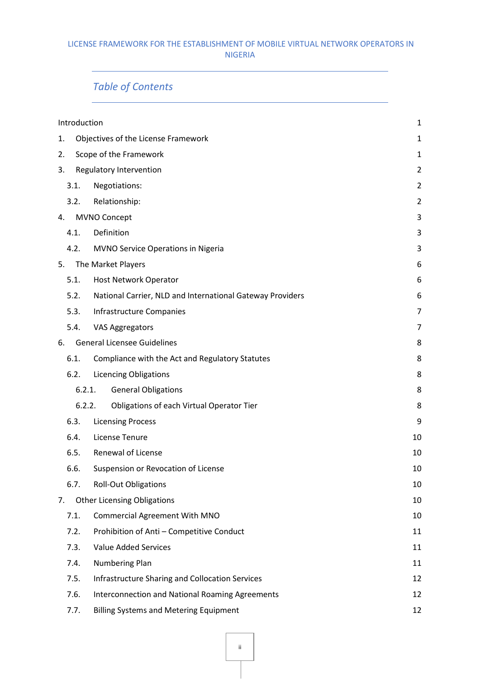# *Table of Contents*

| Introduction                  |                                                           | $\mathbf{1}$   |  |
|-------------------------------|-----------------------------------------------------------|----------------|--|
| 1.                            | Objectives of the License Framework<br>1                  |                |  |
| 2.                            | Scope of the Framework<br>$\mathbf{1}$                    |                |  |
| Regulatory Intervention<br>3. |                                                           |                |  |
| 3.1.                          | Negotiations:                                             | $\overline{2}$ |  |
| 3.2.                          | Relationship:                                             | $\overline{2}$ |  |
| 4.                            | MVNO Concept                                              | 3              |  |
| 4.1.                          | Definition                                                | 3              |  |
| 4.2.                          | MVNO Service Operations in Nigeria                        | 3              |  |
| 5.                            | The Market Players                                        | 6              |  |
| 5.1.                          | <b>Host Network Operator</b>                              | 6              |  |
| 5.2.                          | National Carrier, NLD and International Gateway Providers | 6              |  |
| 5.3.                          | <b>Infrastructure Companies</b>                           | 7              |  |
| 5.4.                          | <b>VAS Aggregators</b>                                    | 7              |  |
| 6.                            | <b>General Licensee Guidelines</b>                        | 8              |  |
| 6.1.                          | Compliance with the Act and Regulatory Statutes           | 8              |  |
| 6.2.                          | <b>Licencing Obligations</b>                              | 8              |  |
|                               | <b>General Obligations</b><br>6.2.1.                      | 8              |  |
|                               | 6.2.2.<br>Obligations of each Virtual Operator Tier       | 8              |  |
| 6.3.                          | <b>Licensing Process</b>                                  | 9              |  |
| 6.4.                          | License Tenure                                            | 10             |  |
| 6.5.                          | Renewal of License                                        | 10             |  |
| 6.6.                          | Suspension or Revocation of License                       | 10             |  |
| 6.7.                          | <b>Roll-Out Obligations</b>                               | 10             |  |
| 7.                            | <b>Other Licensing Obligations</b>                        | 10             |  |
| 7.1.                          | <b>Commercial Agreement With MNO</b>                      | 10             |  |
| 7.2.                          | Prohibition of Anti - Competitive Conduct                 | 11             |  |
| 7.3.                          | <b>Value Added Services</b>                               | 11             |  |
| 7.4.                          | Numbering Plan                                            | 11             |  |
| 7.5.                          | <b>Infrastructure Sharing and Collocation Services</b>    | 12             |  |
| 7.6.                          | <b>Interconnection and National Roaming Agreements</b>    | 12             |  |
| 7.7.                          | <b>Billing Systems and Metering Equipment</b>             | 12             |  |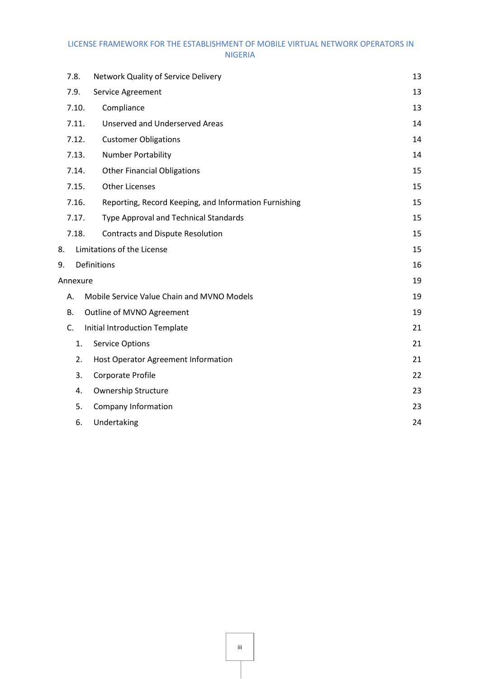|    | 7.8.     | Network Quality of Service Delivery                   | 13 |
|----|----------|-------------------------------------------------------|----|
|    | 7.9.     | Service Agreement                                     | 13 |
|    | 7.10.    | Compliance                                            | 13 |
|    | 7.11.    | <b>Unserved and Underserved Areas</b>                 | 14 |
|    | 7.12.    | <b>Customer Obligations</b>                           | 14 |
|    | 7.13.    | Number Portability                                    | 14 |
|    | 7.14.    | <b>Other Financial Obligations</b>                    | 15 |
|    | 7.15.    | <b>Other Licenses</b>                                 | 15 |
|    | 7.16.    | Reporting, Record Keeping, and Information Furnishing | 15 |
|    | 7.17.    | Type Approval and Technical Standards                 | 15 |
|    | 7.18.    | <b>Contracts and Dispute Resolution</b>               | 15 |
| 8. |          | Limitations of the License                            | 15 |
| 9. |          | Definitions                                           | 16 |
|    | Annexure |                                                       | 19 |
|    | А.       | Mobile Service Value Chain and MVNO Models            | 19 |
|    | В.       | Outline of MVNO Agreement                             | 19 |
|    | C.       | Initial Introduction Template                         | 21 |
|    | 1.       | <b>Service Options</b>                                | 21 |
|    | 2.       | Host Operator Agreement Information                   | 21 |
|    | 3.       | Corporate Profile                                     | 22 |
|    | 4.       | <b>Ownership Structure</b>                            | 23 |
|    | 5.       | Company Information                                   | 23 |
|    | 6.       | Undertaking                                           | 24 |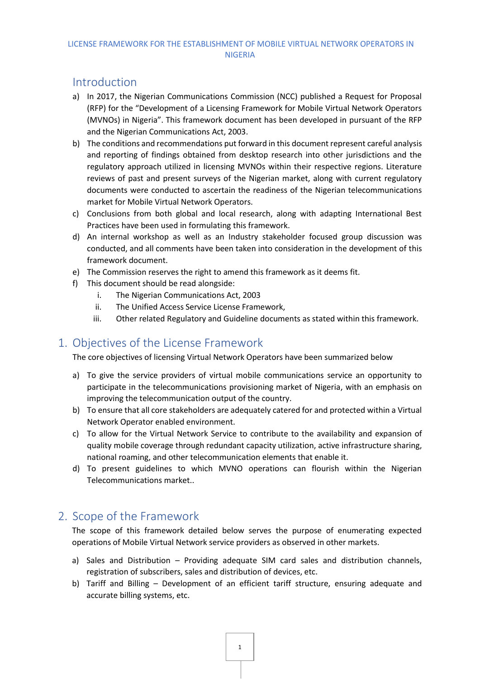### <span id="page-3-0"></span>Introduction

- a) In 2017, the Nigerian Communications Commission (NCC) published a Request for Proposal (RFP) for the "Development of a Licensing Framework for Mobile Virtual Network Operators (MVNOs) in Nigeria". This framework document has been developed in pursuant of the RFP and the Nigerian Communications Act, 2003.
- b) The conditions and recommendations put forward in this document represent careful analysis and reporting of findings obtained from desktop research into other jurisdictions and the regulatory approach utilized in licensing MVNOs within their respective regions. Literature reviews of past and present surveys of the Nigerian market, along with current regulatory documents were conducted to ascertain the readiness of the Nigerian telecommunications market for Mobile Virtual Network Operators.
- c) Conclusions from both global and local research, along with adapting International Best Practices have been used in formulating this framework.
- d) An internal workshop as well as an Industry stakeholder focused group discussion was conducted, and all comments have been taken into consideration in the development of this framework document.
- e) The Commission reserves the right to amend this framework as it deems fit.
- f) This document should be read alongside:
	- i. The Nigerian Communications Act, 2003
	- ii. The Unified Access Service License Framework,
	- iii. Other related Regulatory and Guideline documents as stated within this framework.

### <span id="page-3-1"></span>1. Objectives of the License Framework

The core objectives of licensing Virtual Network Operators have been summarized below

- a) To give the service providers of virtual mobile communications service an opportunity to participate in the telecommunications provisioning market of Nigeria, with an emphasis on improving the telecommunication output of the country.
- b) To ensure that all core stakeholders are adequately catered for and protected within a Virtual Network Operator enabled environment.
- c) To allow for the Virtual Network Service to contribute to the availability and expansion of quality mobile coverage through redundant capacity utilization, active infrastructure sharing, national roaming, and other telecommunication elements that enable it.
- d) To present guidelines to which MVNO operations can flourish within the Nigerian Telecommunications market..

### <span id="page-3-2"></span>2. Scope of the Framework

The scope of this framework detailed below serves the purpose of enumerating expected operations of Mobile Virtual Network service providers as observed in other markets.

- a) Sales and Distribution Providing adequate SIM card sales and distribution channels, registration of subscribers, sales and distribution of devices, etc.
- b) Tariff and Billing Development of an efficient tariff structure, ensuring adequate and accurate billing systems, etc.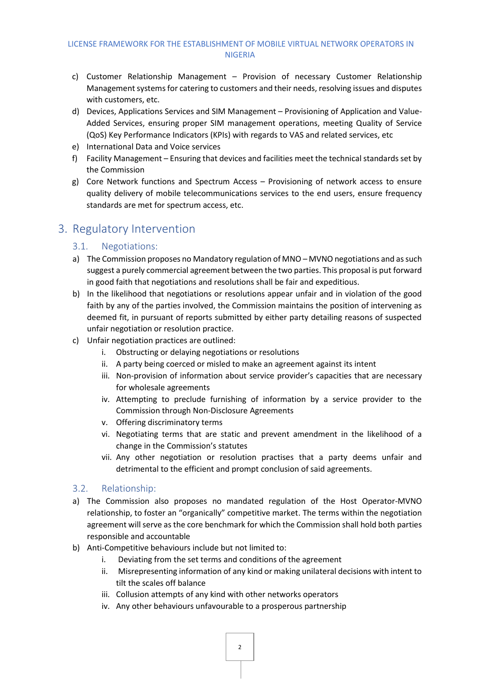- c) Customer Relationship Management Provision of necessary Customer Relationship Management systems for catering to customers and their needs, resolving issues and disputes with customers, etc.
- d) Devices, Applications Services and SIM Management Provisioning of Application and Value-Added Services, ensuring proper SIM management operations, meeting Quality of Service (QoS) Key Performance Indicators (KPIs) with regards to VAS and related services, etc
- e) International Data and Voice services
- f) Facility Management Ensuring that devices and facilities meet the technical standards set by the Commission
- g) Core Network functions and Spectrum Access Provisioning of network access to ensure quality delivery of mobile telecommunications services to the end users, ensure frequency standards are met for spectrum access, etc.

### <span id="page-4-1"></span><span id="page-4-0"></span>3. Regulatory Intervention

#### 3.1. Negotiations:

- a) The Commission proposes no Mandatory regulation of MNO MVNO negotiations and as such suggest a purely commercial agreement between the two parties. This proposal is put forward in good faith that negotiations and resolutions shall be fair and expeditious.
- b) In the likelihood that negotiations or resolutions appear unfair and in violation of the good faith by any of the parties involved, the Commission maintains the position of intervening as deemed fit, in pursuant of reports submitted by either party detailing reasons of suspected unfair negotiation or resolution practice.
- c) Unfair negotiation practices are outlined:
	- i. Obstructing or delaying negotiations or resolutions
	- ii. A party being coerced or misled to make an agreement against its intent
	- iii. Non-provision of information about service provider's capacities that are necessary for wholesale agreements
	- iv. Attempting to preclude furnishing of information by a service provider to the Commission through Non-Disclosure Agreements
	- v. Offering discriminatory terms
	- vi. Negotiating terms that are static and prevent amendment in the likelihood of a change in the Commission's statutes
	- vii. Any other negotiation or resolution practises that a party deems unfair and detrimental to the efficient and prompt conclusion of said agreements.

#### <span id="page-4-2"></span>3.2. Relationship:

- a) The Commission also proposes no mandated regulation of the Host Operator-MVNO relationship, to foster an "organically" competitive market. The terms within the negotiation agreement will serve as the core benchmark for which the Commission shall hold both parties responsible and accountable
- b) Anti-Competitive behaviours include but not limited to:
	- i. Deviating from the set terms and conditions of the agreement
	- ii. Misrepresenting information of any kind or making unilateral decisions with intent to tilt the scales off balance
	- iii. Collusion attempts of any kind with other networks operators
	- iv. Any other behaviours unfavourable to a prosperous partnership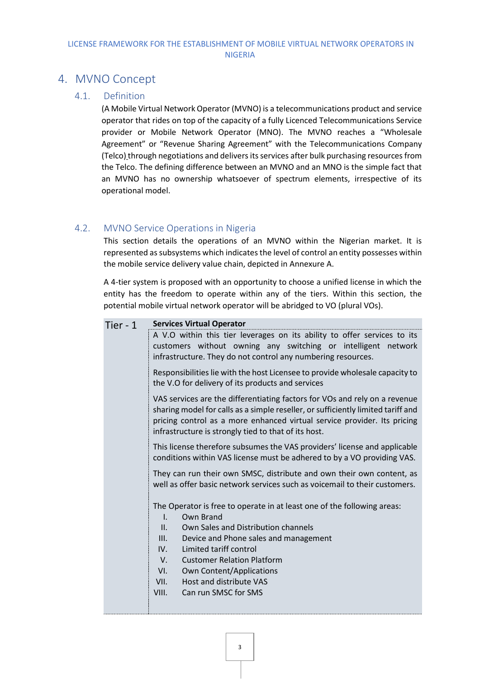### <span id="page-5-1"></span><span id="page-5-0"></span>4. MVNO Concept

#### 4.1. Definition

(A Mobile Virtual Network Operator (MVNO) is a telecommunications product and service operator that rides on top of the capacity of a fully Licenced Telecommunications Service provider or Mobile Network Operator (MNO). The MVNO reaches a "Wholesale Agreement" or "Revenue Sharing Agreement" with the Telecommunications Company (Telco) through negotiations and delivers its services after bulk purchasing resources from the Telco. The defining difference between an MVNO and an MNO is the simple fact that an MVNO has no ownership whatsoever of spectrum elements, irrespective of its operational model.

#### <span id="page-5-2"></span>4.2. MVNO Service Operations in Nigeria

This section details the operations of an MVNO within the Nigerian market. It is represented as subsystems which indicates the level of control an entity possesses within the mobile service delivery value chain, depicted in Annexure A.

A 4-tier system is proposed with an opportunity to choose a unified license in which the entity has the freedom to operate within any of the tiers. Within this section, the potential mobile virtual network operator will be abridged to VO (plural VOs).

| Tier - 1 | <b>Services Virtual Operator</b>                                                                                                                                                                                                                                                                   |  |  |
|----------|----------------------------------------------------------------------------------------------------------------------------------------------------------------------------------------------------------------------------------------------------------------------------------------------------|--|--|
|          | A V.O within this tier leverages on its ability to offer services to its<br>customers without owning any switching or intelligent network<br>infrastructure. They do not control any numbering resources.                                                                                          |  |  |
|          | Responsibilities lie with the host Licensee to provide wholesale capacity to<br>the V.O for delivery of its products and services                                                                                                                                                                  |  |  |
|          | VAS services are the differentiating factors for VOs and rely on a revenue<br>sharing model for calls as a simple reseller, or sufficiently limited tariff and<br>pricing control as a more enhanced virtual service provider. Its pricing<br>infrastructure is strongly tied to that of its host. |  |  |
|          | This license therefore subsumes the VAS providers' license and applicable<br>conditions within VAS license must be adhered to by a VO providing VAS.                                                                                                                                               |  |  |
|          | They can run their own SMSC, distribute and own their own content, as<br>well as offer basic network services such as voicemail to their customers.                                                                                                                                                |  |  |
|          | The Operator is free to operate in at least one of the following areas:<br>Own Brand<br>$\mathsf{L}$<br>II.<br>Own Sales and Distribution channels                                                                                                                                                 |  |  |
|          | III.<br>Device and Phone sales and management<br>Limited tariff control<br>IV.                                                                                                                                                                                                                     |  |  |
|          | <b>Customer Relation Platform</b><br>V.                                                                                                                                                                                                                                                            |  |  |
|          | <b>Own Content/Applications</b><br>VI.                                                                                                                                                                                                                                                             |  |  |
|          | Host and distribute VAS<br>VII.                                                                                                                                                                                                                                                                    |  |  |
|          | Can run SMSC for SMS<br>VIII.                                                                                                                                                                                                                                                                      |  |  |
|          |                                                                                                                                                                                                                                                                                                    |  |  |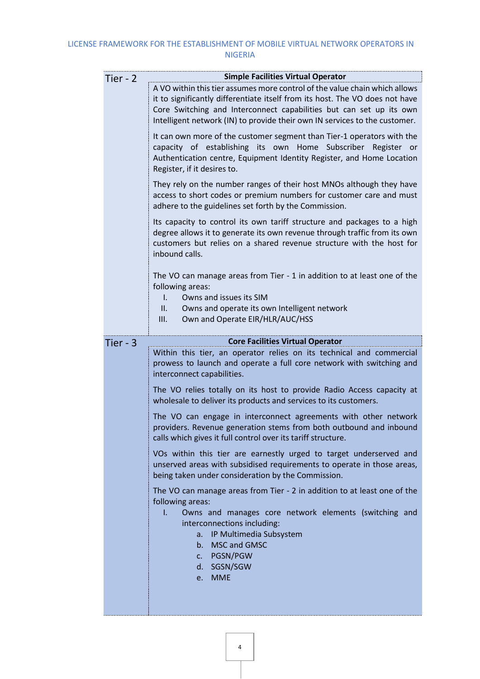| <b>Simple Facilities Virtual Operator</b>                                                                                                                                                                                                                                                                       |
|-----------------------------------------------------------------------------------------------------------------------------------------------------------------------------------------------------------------------------------------------------------------------------------------------------------------|
| A VO within this tier assumes more control of the value chain which allows<br>it to significantly differentiate itself from its host. The VO does not have<br>Core Switching and Interconnect capabilities but can set up its own<br>Intelligent network (IN) to provide their own IN services to the customer. |
| It can own more of the customer segment than Tier-1 operators with the<br>capacity of establishing its own Home Subscriber Register or<br>Authentication centre, Equipment Identity Register, and Home Location<br>Register, if it desires to.                                                                  |
| They rely on the number ranges of their host MNOs although they have<br>access to short codes or premium numbers for customer care and must<br>adhere to the guidelines set forth by the Commission.                                                                                                            |
| Its capacity to control its own tariff structure and packages to a high<br>degree allows it to generate its own revenue through traffic from its own<br>customers but relies on a shared revenue structure with the host for<br>inbound calls.                                                                  |
| The VO can manage areas from Tier - 1 in addition to at least one of the<br>following areas:<br>Owns and issues its SIM<br>L.<br>Owns and operate its own Intelligent network<br>II.<br>Own and Operate EIR/HLR/AUC/HSS<br>III.                                                                                 |
| <b>Core Facilities Virtual Operator</b>                                                                                                                                                                                                                                                                         |
| Within this tier, an operator relies on its technical and commercial<br>prowess to launch and operate a full core network with switching and<br>interconnect capabilities.                                                                                                                                      |
| The VO relies totally on its host to provide Radio Access capacity at<br>wholesale to deliver its products and services to its customers.                                                                                                                                                                       |
| The VO can engage in interconnect agreements with other network<br>providers. Revenue generation stems from both outbound and inbound<br>calls which gives it full control over its tariff structure.                                                                                                           |
| VOs within this tier are earnestly urged to target underserved and<br>unserved areas with subsidised requirements to operate in those areas,<br>being taken under consideration by the Commission.                                                                                                              |
| The VO can manage areas from Tier - 2 in addition to at least one of the<br>following areas:<br>Owns and manages core network elements (switching and<br>L.<br>interconnections including:<br>a. IP Multimedia Subsystem<br>MSC and GMSC<br>b.                                                                  |
|                                                                                                                                                                                                                                                                                                                 |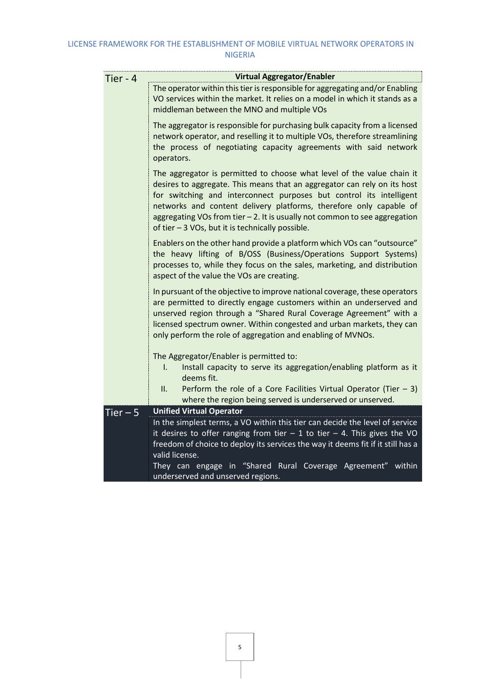| Tier - 4  | <b>Virtual Aggregator/Enabler</b>                                                                                                                                                                                                                                                                                                                                                                                                 |  |  |  |
|-----------|-----------------------------------------------------------------------------------------------------------------------------------------------------------------------------------------------------------------------------------------------------------------------------------------------------------------------------------------------------------------------------------------------------------------------------------|--|--|--|
|           | The operator within this tier is responsible for aggregating and/or Enabling<br>VO services within the market. It relies on a model in which it stands as a<br>middleman between the MNO and multiple VOs                                                                                                                                                                                                                         |  |  |  |
|           | The aggregator is responsible for purchasing bulk capacity from a licensed<br>network operator, and reselling it to multiple VOs, therefore streamlining<br>the process of negotiating capacity agreements with said network<br>operators.                                                                                                                                                                                        |  |  |  |
|           | The aggregator is permitted to choose what level of the value chain it<br>desires to aggregate. This means that an aggregator can rely on its host<br>for switching and interconnect purposes but control its intelligent<br>networks and content delivery platforms, therefore only capable of<br>aggregating VOs from tier - 2. It is usually not common to see aggregation<br>of tier - 3 VOs, but it is technically possible. |  |  |  |
|           | Enablers on the other hand provide a platform which VOs can "outsource"<br>the heavy lifting of B/OSS (Business/Operations Support Systems)<br>processes to, while they focus on the sales, marketing, and distribution<br>aspect of the value the VOs are creating.                                                                                                                                                              |  |  |  |
|           | In pursuant of the objective to improve national coverage, these operators<br>are permitted to directly engage customers within an underserved and<br>unserved region through a "Shared Rural Coverage Agreement" with a<br>licensed spectrum owner. Within congested and urban markets, they can<br>only perform the role of aggregation and enabling of MVNOs.                                                                  |  |  |  |
|           | The Aggregator/Enabler is permitted to:<br>Install capacity to serve its aggregation/enabling platform as it<br>١.<br>deems fit.                                                                                                                                                                                                                                                                                                  |  |  |  |
|           | Perform the role of a Core Facilities Virtual Operator (Tier $-3$ )<br>ΙΙ.<br>where the region being served is underserved or unserved.                                                                                                                                                                                                                                                                                           |  |  |  |
| Tier $-5$ | <b>Unified Virtual Operator</b>                                                                                                                                                                                                                                                                                                                                                                                                   |  |  |  |
|           | In the simplest terms, a VO within this tier can decide the level of service<br>it desires to offer ranging from tier $-1$ to tier $-4$ . This gives the VO<br>freedom of choice to deploy its services the way it deems fit if it still has a<br>valid license.                                                                                                                                                                  |  |  |  |
|           | They can engage in "Shared Rural Coverage Agreement" within<br>underserved and unserved regions.                                                                                                                                                                                                                                                                                                                                  |  |  |  |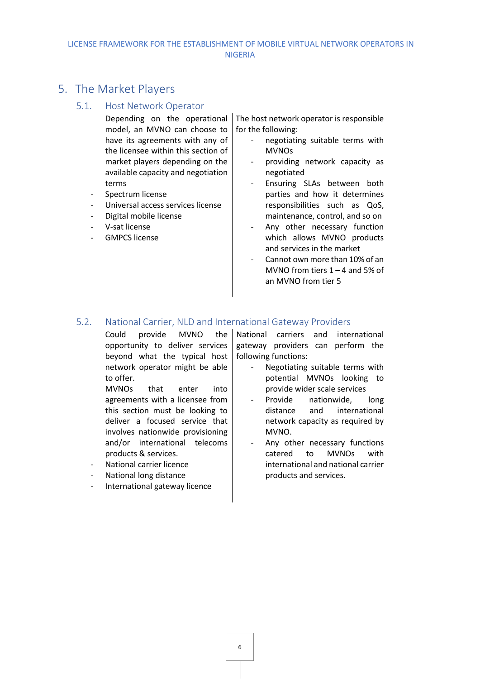### <span id="page-8-1"></span><span id="page-8-0"></span>5. The Market Players

#### 5.1. Host Network Operator

- Depending on the operational model, an MVNO can choose to have its agreements with any of the licensee within this section of market players depending on the available capacity and negotiation terms
- Spectrum license
- Universal access services license
- Digital mobile license
- V-sat license
- GMPCS license

The host network operator is responsible for the following:

- negotiating suitable terms with MVNOs
- providing network capacity as negotiated
- Ensuring SLAs between both parties and how it determines responsibilities such as QoS, maintenance, control, and so on
- Any other necessary function which allows MVNO products and services in the market
- Cannot own more than 10% of an MVNO from tiers  $1 - 4$  and 5% of an MVNO from tier 5

#### <span id="page-8-2"></span>5.2. National Carrier, NLD and International Gateway Providers

Could provide MVNO the opportunity to deliver services beyond what the typical host network operator might be able to offer.

MVNOs that enter into agreements with a licensee from this section must be looking to deliver a focused service that involves nationwide provisioning and/or international telecoms products & services.

- National carrier licence
- National long distance
- International gateway licence

National carriers and international gateway providers can perform the following functions:

- Negotiating suitable terms with potential MVNOs looking to provide wider scale services
- Provide nationwide, long distance and international network capacity as required by MVNO.
- Any other necessary functions catered to MVNOs with international and national carrier products and services.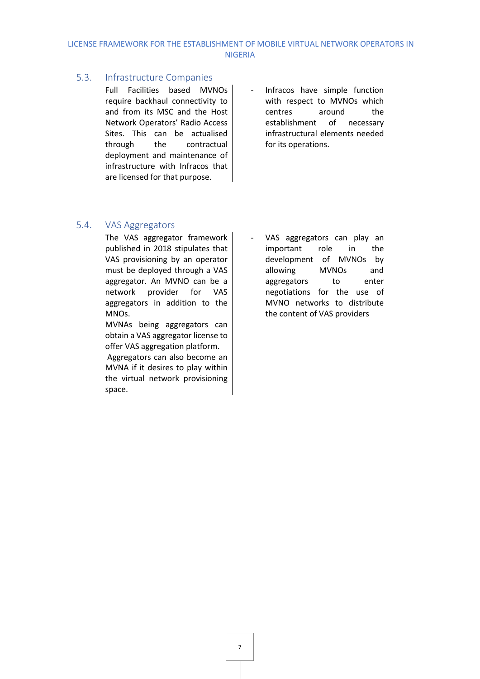#### <span id="page-9-0"></span>5.3. Infrastructure Companies

Full Facilities based MVNOs require backhaul connectivity to and from its MSC and the Host Network Operators' Radio Access Sites. This can be actualised through the contractual deployment and maintenance of infrastructure with Infracos that are licensed for that purpose.

Infracos have simple function with respect to MVNOs which centres around the establishment of necessary infrastructural elements needed for its operations.

#### <span id="page-9-1"></span>5.4. VAS Aggregators

The VAS aggregator framework published in 2018 stipulates that VAS provisioning by an operator must be deployed through a VAS aggregator. An MVNO can be a network provider for VAS aggregators in addition to the MNOs.

MVNAs being aggregators can obtain a VAS aggregator license to offer VAS aggregation platform.

Aggregators can also become an MVNA if it desires to play within the virtual network provisioning space.

VAS aggregators can play an important role in the development of MVNOs by allowing MVNOs and aggregators to enter negotiations for the use of MVNO networks to distribute the content of VAS providers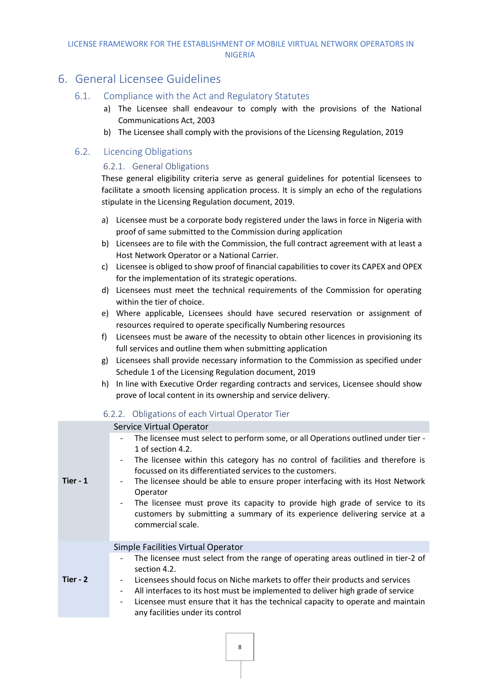### <span id="page-10-1"></span><span id="page-10-0"></span>6. General Licensee Guidelines

#### 6.1. Compliance with the Act and Regulatory Statutes

- a) The Licensee shall endeavour to comply with the provisions of the National Communications Act, 2003
- b) The Licensee shall comply with the provisions of the Licensing Regulation, 2019

#### <span id="page-10-3"></span><span id="page-10-2"></span>6.2. Licencing Obligations

#### 6.2.1. General Obligations

These general eligibility criteria serve as general guidelines for potential licensees to facilitate a smooth licensing application process. It is simply an echo of the regulations stipulate in the Licensing Regulation document, 2019.

- a) Licensee must be a corporate body registered under the laws in force in Nigeria with proof of same submitted to the Commission during application
- b) Licensees are to file with the Commission, the full contract agreement with at least a Host Network Operator or a National Carrier.
- c) Licensee is obliged to show proof of financial capabilities to cover its CAPEX and OPEX for the implementation of its strategic operations.
- d) Licensees must meet the technical requirements of the Commission for operating within the tier of choice.
- e) Where applicable, Licensees should have secured reservation or assignment of resources required to operate specifically Numbering resources
- f) Licensees must be aware of the necessity to obtain other licences in provisioning its full services and outline them when submitting application
- g) Licensees shall provide necessary information to the Commission as specified under Schedule 1 of the Licensing Regulation document, 2019
- h) In line with Executive Order regarding contracts and services, Licensee should show prove of local content in its ownership and service delivery.

<span id="page-10-4"></span>

|                                                                                                              | 6.2.2. Obligations of each Virtual Operator Tier                                                                                                                                                                                                                                                                                                                                                                                                                                                                                         |
|--------------------------------------------------------------------------------------------------------------|------------------------------------------------------------------------------------------------------------------------------------------------------------------------------------------------------------------------------------------------------------------------------------------------------------------------------------------------------------------------------------------------------------------------------------------------------------------------------------------------------------------------------------------|
|                                                                                                              | Service Virtual Operator                                                                                                                                                                                                                                                                                                                                                                                                                                                                                                                 |
| $\overline{\phantom{a}}$<br>$\overline{\phantom{a}}$<br>$\overline{\phantom{a}}$<br>$\overline{\phantom{a}}$ | The licensee must select to perform some, or all Operations outlined under tier -<br>1 of section 4.2.<br>The licensee within this category has no control of facilities and therefore is<br>focussed on its differentiated services to the customers.<br>The licensee should be able to ensure proper interfacing with its Host Network<br>Operator<br>The licensee must prove its capacity to provide high grade of service to its<br>customers by submitting a summary of its experience delivering service at a<br>commercial scale. |
|                                                                                                              | Simple Facilities Virtual Operator                                                                                                                                                                                                                                                                                                                                                                                                                                                                                                       |
| $\overline{\phantom{a}}$<br>$\blacksquare$<br>$\overline{\phantom{a}}$<br>$\overline{\phantom{a}}$           | The licensee must select from the range of operating areas outlined in tier-2 of<br>section 4.2.<br>Licensees should focus on Niche markets to offer their products and services<br>All interfaces to its host must be implemented to deliver high grade of service<br>Licensee must ensure that it has the technical capacity to operate and maintain<br>any facilities under its control                                                                                                                                               |
|                                                                                                              |                                                                                                                                                                                                                                                                                                                                                                                                                                                                                                                                          |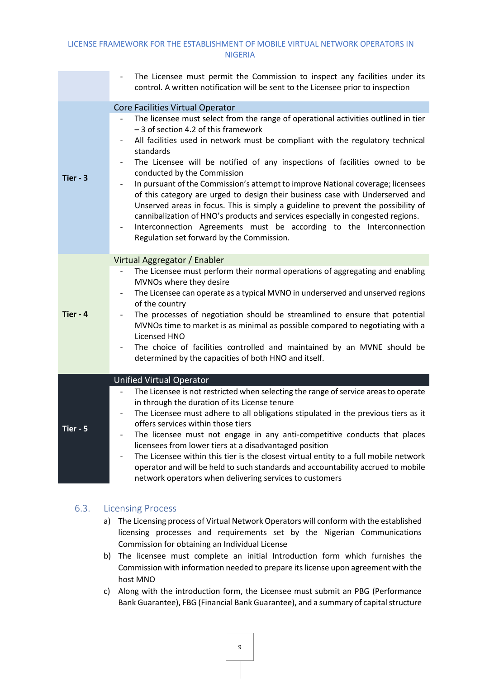|            | The Licensee must permit the Commission to inspect any facilities under its<br>control. A written notification will be sent to the Licensee prior to inspection                                                                                                                                                                                                                                                                                                                                                                                                                                                                                                                                                                                                                                                                                                                                                                                                  |
|------------|------------------------------------------------------------------------------------------------------------------------------------------------------------------------------------------------------------------------------------------------------------------------------------------------------------------------------------------------------------------------------------------------------------------------------------------------------------------------------------------------------------------------------------------------------------------------------------------------------------------------------------------------------------------------------------------------------------------------------------------------------------------------------------------------------------------------------------------------------------------------------------------------------------------------------------------------------------------|
| Tier - $3$ | Core Facilities Virtual Operator<br>The licensee must select from the range of operational activities outlined in tier<br>$\frac{1}{2}$<br>- 3 of section 4.2 of this framework<br>All facilities used in network must be compliant with the regulatory technical<br>$\overline{\phantom{a}}$<br>standards<br>The Licensee will be notified of any inspections of facilities owned to be<br>$\overline{\phantom{a}}$<br>conducted by the Commission<br>In pursuant of the Commission's attempt to improve National coverage; licensees<br>$\frac{1}{2}$<br>of this category are urged to design their business case with Underserved and<br>Unserved areas in focus. This is simply a guideline to prevent the possibility of<br>cannibalization of HNO's products and services especially in congested regions.<br>Interconnection Agreements must be according to the Interconnection<br>$\overline{\phantom{a}}$<br>Regulation set forward by the Commission. |
| Tier - 4   | Virtual Aggregator / Enabler<br>The Licensee must perform their normal operations of aggregating and enabling<br>MVNOs where they desire<br>The Licensee can operate as a typical MVNO in underserved and unserved regions<br>$\qquad \qquad \blacksquare$<br>of the country<br>The processes of negotiation should be streamlined to ensure that potential<br>$\overline{\phantom{a}}$<br>MVNOs time to market is as minimal as possible compared to negotiating with a<br>Licensed HNO<br>The choice of facilities controlled and maintained by an MVNE should be<br>determined by the capacities of both HNO and itself.                                                                                                                                                                                                                                                                                                                                      |
| Tier - 5   | <b>Unified Virtual Operator</b><br>The Licensee is not restricted when selecting the range of service areas to operate<br>in through the duration of its License tenure<br>The Licensee must adhere to all obligations stipulated in the previous tiers as it<br>$\qquad \qquad \blacksquare$<br>offers services within those tiers<br>The licensee must not engage in any anti-competitive conducts that places<br>$\overline{\phantom{a}}$<br>licensees from lower tiers at a disadvantaged position<br>The Licensee within this tier is the closest virtual entity to a full mobile network<br>operator and will be held to such standards and accountability accrued to mobile<br>network operators when delivering services to customers                                                                                                                                                                                                                    |

#### <span id="page-11-0"></span>6.3. Licensing Process

- a) The Licensing process of Virtual Network Operators will conform with the established licensing processes and requirements set by the Nigerian Communications Commission for obtaining an Individual License
- b) The licensee must complete an initial Introduction form which furnishes the Commission with information needed to prepare its license upon agreement with the host MNO
- c) Along with the introduction form, the Licensee must submit an PBG (Performance Bank Guarantee), FBG (Financial Bank Guarantee), and a summary of capital structure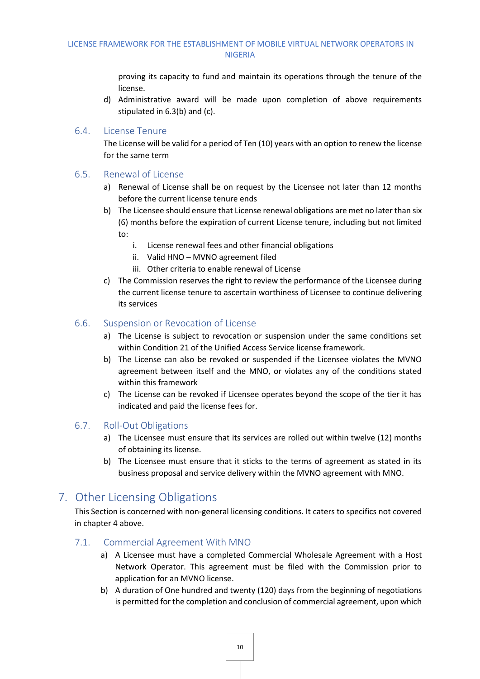proving its capacity to fund and maintain its operations through the tenure of the license.

d) Administrative award will be made upon completion of above requirements stipulated in 6.3(b) and (c).

#### <span id="page-12-0"></span>6.4. License Tenure

The License will be valid for a period of Ten (10) years with an option to renew the license for the same term

#### <span id="page-12-1"></span>6.5. Renewal of License

- a) Renewal of License shall be on request by the Licensee not later than 12 months before the current license tenure ends
- b) The Licensee should ensure that License renewal obligations are met no later than six (6) months before the expiration of current License tenure, including but not limited to:
	- i. License renewal fees and other financial obligations
	- ii. Valid HNO MVNO agreement filed
	- iii. Other criteria to enable renewal of License
- c) The Commission reserves the right to review the performance of the Licensee during the current license tenure to ascertain worthiness of Licensee to continue delivering its services

#### <span id="page-12-2"></span>6.6. Suspension or Revocation of License

- a) The License is subject to revocation or suspension under the same conditions set within Condition 21 of the Unified Access Service license framework.
- b) The License can also be revoked or suspended if the Licensee violates the MVNO agreement between itself and the MNO, or violates any of the conditions stated within this framework
- c) The License can be revoked if Licensee operates beyond the scope of the tier it has indicated and paid the license fees for.

#### <span id="page-12-3"></span>6.7. Roll-Out Obligations

- a) The Licensee must ensure that its services are rolled out within twelve (12) months of obtaining its license.
- b) The Licensee must ensure that it sticks to the terms of agreement as stated in its business proposal and service delivery within the MVNO agreement with MNO.

### <span id="page-12-4"></span>7. Other Licensing Obligations

This Section is concerned with non-general licensing conditions. It caters to specifics not covered in chapter 4 above.

#### <span id="page-12-5"></span>7.1. Commercial Agreement With MNO

- a) A Licensee must have a completed Commercial Wholesale Agreement with a Host Network Operator. This agreement must be filed with the Commission prior to application for an MVNO license.
- b) A duration of One hundred and twenty (120) days from the beginning of negotiations is permitted for the completion and conclusion of commercial agreement, upon which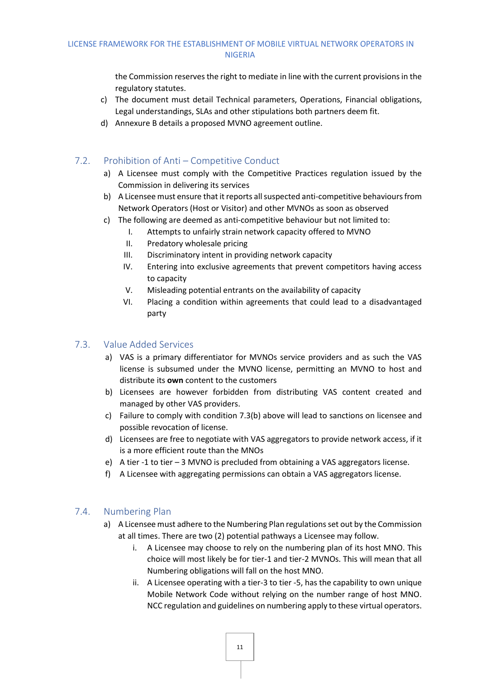the Commission reserves the right to mediate in line with the current provisions in the regulatory statutes.

- c) The document must detail Technical parameters, Operations, Financial obligations, Legal understandings, SLAs and other stipulations both partners deem fit.
- d) Annexure B details a proposed MVNO agreement outline.

#### <span id="page-13-0"></span>7.2. Prohibition of Anti – Competitive Conduct

- a) A Licensee must comply with the Competitive Practices regulation issued by the Commission in delivering its services
- b) A Licensee must ensure that it reports all suspected anti-competitive behaviours from Network Operators (Host or Visitor) and other MVNOs as soon as observed
- c) The following are deemed as anti-competitive behaviour but not limited to:
	- I. Attempts to unfairly strain network capacity offered to MVNO
	- II. Predatory wholesale pricing
	- III. Discriminatory intent in providing network capacity
	- IV. Entering into exclusive agreements that prevent competitors having access to capacity
	- V. Misleading potential entrants on the availability of capacity
	- VI. Placing a condition within agreements that could lead to a disadvantaged party

#### <span id="page-13-1"></span>7.3. Value Added Services

- a) VAS is a primary differentiator for MVNOs service providers and as such the VAS license is subsumed under the MVNO license, permitting an MVNO to host and distribute its **own** content to the customers
- b) Licensees are however forbidden from distributing VAS content created and managed by other VAS providers.
- c) Failure to comply with condition 7.3(b) above will lead to sanctions on licensee and possible revocation of license.
- d) Licensees are free to negotiate with VAS aggregators to provide network access, if it is a more efficient route than the MNOs
- e) A tier -1 to tier 3 MVNO is precluded from obtaining a VAS aggregators license.
- f) A Licensee with aggregating permissions can obtain a VAS aggregators license.

#### <span id="page-13-2"></span>7.4. Numbering Plan

- a) A Licensee must adhere to the Numbering Plan regulations set out by the Commission at all times. There are two (2) potential pathways a Licensee may follow.
	- i. A Licensee may choose to rely on the numbering plan of its host MNO. This choice will most likely be for tier-1 and tier-2 MVNOs. This will mean that all Numbering obligations will fall on the host MNO.
	- ii. A Licensee operating with a tier-3 to tier -5, has the capability to own unique Mobile Network Code without relying on the number range of host MNO. NCC regulation and guidelines on numbering apply to these virtual operators.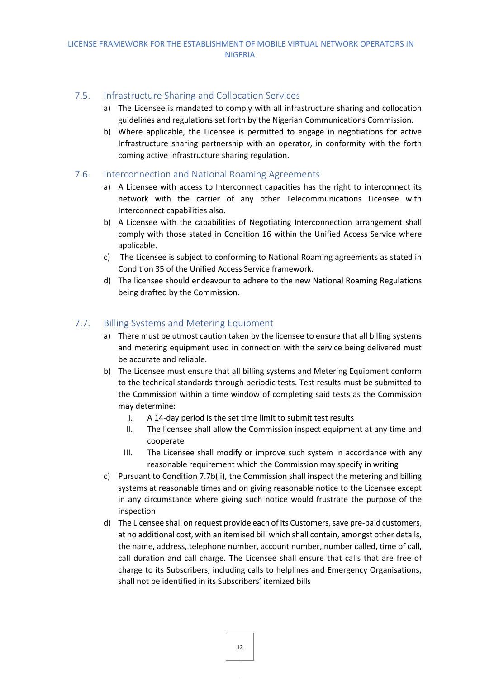#### <span id="page-14-0"></span>7.5. Infrastructure Sharing and Collocation Services

- a) The Licensee is mandated to comply with all infrastructure sharing and collocation guidelines and regulations set forth by the Nigerian Communications Commission.
- b) Where applicable, the Licensee is permitted to engage in negotiations for active Infrastructure sharing partnership with an operator, in conformity with the forth coming active infrastructure sharing regulation.

#### <span id="page-14-1"></span>7.6. Interconnection and National Roaming Agreements

- a) A Licensee with access to Interconnect capacities has the right to interconnect its network with the carrier of any other Telecommunications Licensee with Interconnect capabilities also.
- b) A Licensee with the capabilities of Negotiating Interconnection arrangement shall comply with those stated in Condition 16 within the Unified Access Service where applicable.
- c) The Licensee is subject to conforming to National Roaming agreements as stated in Condition 35 of the Unified Access Service framework.
- d) The licensee should endeavour to adhere to the new National Roaming Regulations being drafted by the Commission.

#### <span id="page-14-2"></span>7.7. Billing Systems and Metering Equipment

- a) There must be utmost caution taken by the licensee to ensure that all billing systems and metering equipment used in connection with the service being delivered must be accurate and reliable.
- b) The Licensee must ensure that all billing systems and Metering Equipment conform to the technical standards through periodic tests. Test results must be submitted to the Commission within a time window of completing said tests as the Commission may determine:
	- I. A 14-day period is the set time limit to submit test results
	- II. The licensee shall allow the Commission inspect equipment at any time and cooperate
	- III. The Licensee shall modify or improve such system in accordance with any reasonable requirement which the Commission may specify in writing
- c) Pursuant to Condition 7.7b(ii), the Commission shall inspect the metering and billing systems at reasonable times and on giving reasonable notice to the Licensee except in any circumstance where giving such notice would frustrate the purpose of the inspection
- d) The Licensee shall on request provide each of its Customers, save pre-paid customers, at no additional cost, with an itemised bill which shall contain, amongst other details, the name, address, telephone number, account number, number called, time of call, call duration and call charge. The Licensee shall ensure that calls that are free of charge to its Subscribers, including calls to helplines and Emergency Organisations, shall not be identified in its Subscribers' itemized bills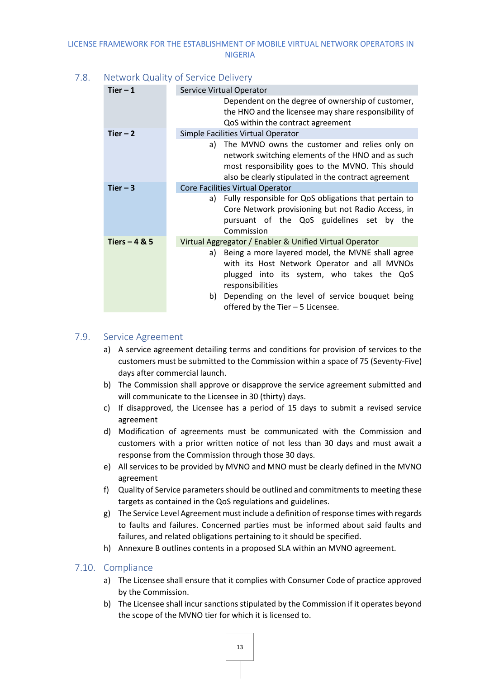#### <span id="page-15-0"></span>7.8. Network Quality of Service Delivery

| Tier $-1$      | Service Virtual Operator                                                                                                                                                                                                                                               |
|----------------|------------------------------------------------------------------------------------------------------------------------------------------------------------------------------------------------------------------------------------------------------------------------|
|                | Dependent on the degree of ownership of customer,<br>the HNO and the licensee may share responsibility of<br>QoS within the contract agreement                                                                                                                         |
| Tier $-2$      | Simple Facilities Virtual Operator                                                                                                                                                                                                                                     |
|                | The MVNO owns the customer and relies only on<br>a)<br>network switching elements of the HNO and as such<br>most responsibility goes to the MVNO. This should<br>also be clearly stipulated in the contract agreement                                                  |
| Tier $-3$      | Core Facilities Virtual Operator                                                                                                                                                                                                                                       |
|                | Fully responsible for QoS obligations that pertain to<br>a)<br>Core Network provisioning but not Radio Access, in<br>pursuant of the QoS guidelines set by the<br>Commission                                                                                           |
| Tiers $-4 & 5$ | Virtual Aggregator / Enabler & Unified Virtual Operator                                                                                                                                                                                                                |
|                | Being a more layered model, the MVNE shall agree<br>a)<br>with its Host Network Operator and all MVNOs<br>plugged into its system, who takes the QoS<br>responsibilities<br>Depending on the level of service bouquet being<br>b)<br>offered by the Tier - 5 Licensee. |
|                |                                                                                                                                                                                                                                                                        |

#### <span id="page-15-1"></span>7.9. Service Agreement

- a) A service agreement detailing terms and conditions for provision of services to the customers must be submitted to the Commission within a space of 75 (Seventy-Five) days after commercial launch.
- b) The Commission shall approve or disapprove the service agreement submitted and will communicate to the Licensee in 30 (thirty) days.
- c) If disapproved, the Licensee has a period of 15 days to submit a revised service agreement
- d) Modification of agreements must be communicated with the Commission and customers with a prior written notice of not less than 30 days and must await a response from the Commission through those 30 days.
- e) All services to be provided by MVNO and MNO must be clearly defined in the MVNO agreement
- f) Quality of Service parameters should be outlined and commitments to meeting these targets as contained in the QoS regulations and guidelines.
- g) The Service Level Agreement must include a definition of response times with regards to faults and failures. Concerned parties must be informed about said faults and failures, and related obligations pertaining to it should be specified.
- h) Annexure B outlines contents in a proposed SLA within an MVNO agreement.

#### <span id="page-15-2"></span>7.10. Compliance

- a) The Licensee shall ensure that it complies with Consumer Code of practice approved by the Commission.
- b) The Licensee shall incur sanctions stipulated by the Commission if it operates beyond the scope of the MVNO tier for which it is licensed to.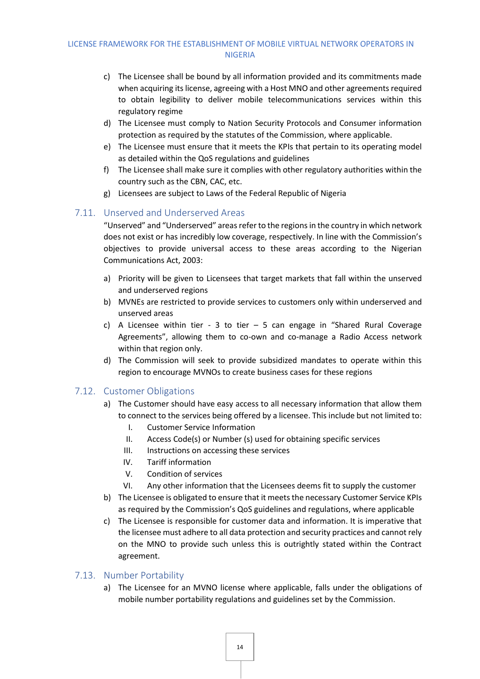- c) The Licensee shall be bound by all information provided and its commitments made when acquiring its license, agreeing with a Host MNO and other agreements required to obtain legibility to deliver mobile telecommunications services within this regulatory regime
- d) The Licensee must comply to Nation Security Protocols and Consumer information protection as required by the statutes of the Commission, where applicable.
- e) The Licensee must ensure that it meets the KPIs that pertain to its operating model as detailed within the QoS regulations and guidelines
- f) The Licensee shall make sure it complies with other regulatory authorities within the country such as the CBN, CAC, etc.
- g) Licensees are subject to Laws of the Federal Republic of Nigeria

#### <span id="page-16-0"></span>7.11. Unserved and Underserved Areas

"Unserved" and "Underserved" areasrefer to the regions in the country in which network does not exist or has incredibly low coverage, respectively. In line with the Commission's objectives to provide universal access to these areas according to the Nigerian Communications Act, 2003:

- a) Priority will be given to Licensees that target markets that fall within the unserved and underserved regions
- b) MVNEs are restricted to provide services to customers only within underserved and unserved areas
- c) A Licensee within tier 3 to tier  $-5$  can engage in "Shared Rural Coverage Agreements", allowing them to co-own and co-manage a Radio Access network within that region only.
- d) The Commission will seek to provide subsidized mandates to operate within this region to encourage MVNOs to create business cases for these regions

#### <span id="page-16-1"></span>7.12. Customer Obligations

- a) The Customer should have easy access to all necessary information that allow them to connect to the services being offered by a licensee. This include but not limited to:
	- I. Customer Service Information
	- II. Access Code(s) or Number (s) used for obtaining specific services
	- III. Instructions on accessing these services
	- IV. Tariff information
	- V. Condition of services
	- VI. Any other information that the Licensees deems fit to supply the customer
- b) The Licensee is obligated to ensure that it meets the necessary Customer Service KPIs as required by the Commission's QoS guidelines and regulations, where applicable
- c) The Licensee is responsible for customer data and information. It is imperative that the licensee must adhere to all data protection and security practices and cannot rely on the MNO to provide such unless this is outrightly stated within the Contract agreement.

#### <span id="page-16-2"></span>7.13. Number Portability

a) The Licensee for an MVNO license where applicable, falls under the obligations of mobile number portability regulations and guidelines set by the Commission.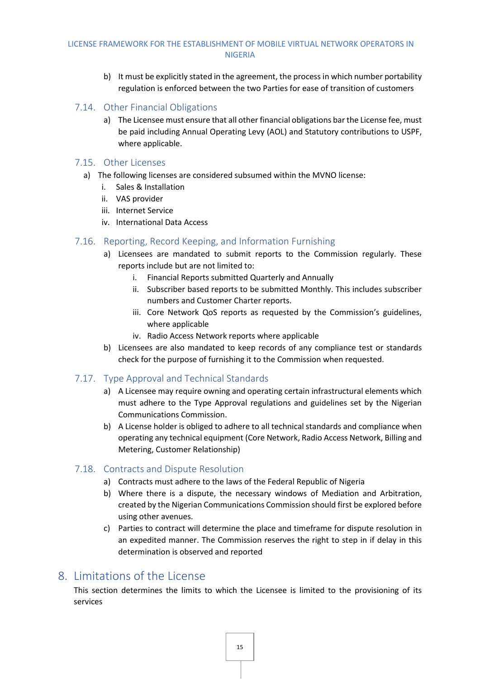- b) It must be explicitly stated in the agreement, the process in which number portability regulation is enforced between the two Parties for ease of transition of customers
- <span id="page-17-0"></span>7.14. Other Financial Obligations
	- a) The Licensee must ensure that all other financial obligations bar the License fee, must be paid including Annual Operating Levy (AOL) and Statutory contributions to USPF, where applicable.

#### <span id="page-17-1"></span>7.15. Other Licenses

- a) The following licenses are considered subsumed within the MVNO license:
	- i. Sales & Installation
	- ii. VAS provider
	- iii. Internet Service
	- iv. International Data Access

#### <span id="page-17-2"></span>7.16. Reporting, Record Keeping, and Information Furnishing

- a) Licensees are mandated to submit reports to the Commission regularly. These reports include but are not limited to:
	- i. Financial Reports submitted Quarterly and Annually
	- ii. Subscriber based reports to be submitted Monthly. This includes subscriber numbers and Customer Charter reports.
	- iii. Core Network QoS reports as requested by the Commission's guidelines, where applicable
	- iv. Radio Access Network reports where applicable
- b) Licensees are also mandated to keep records of any compliance test or standards check for the purpose of furnishing it to the Commission when requested.

#### <span id="page-17-3"></span>7.17. Type Approval and Technical Standards

- a) A Licensee may require owning and operating certain infrastructural elements which must adhere to the Type Approval regulations and guidelines set by the Nigerian Communications Commission.
- b) A License holder is obliged to adhere to all technical standards and compliance when operating any technical equipment (Core Network, Radio Access Network, Billing and Metering, Customer Relationship)

#### <span id="page-17-4"></span>7.18. Contracts and Dispute Resolution

- a) Contracts must adhere to the laws of the Federal Republic of Nigeria
- b) Where there is a dispute, the necessary windows of Mediation and Arbitration, created by the Nigerian Communications Commission should first be explored before using other avenues.
- c) Parties to contract will determine the place and timeframe for dispute resolution in an expedited manner. The Commission reserves the right to step in if delay in this determination is observed and reported

### <span id="page-17-5"></span>8. Limitations of the License

This section determines the limits to which the Licensee is limited to the provisioning of its services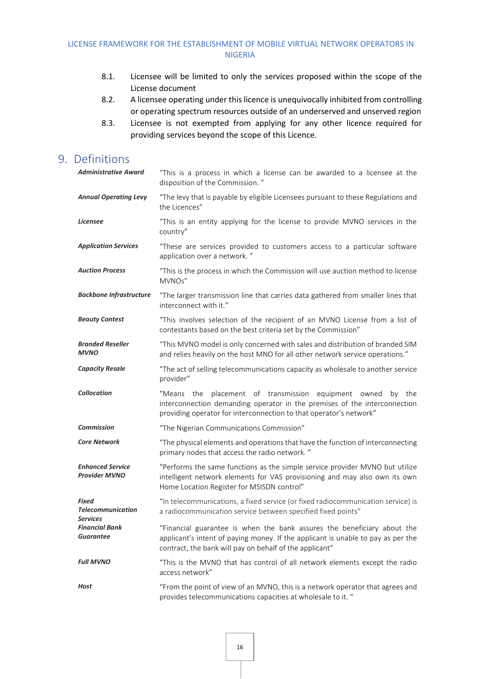- 8.1. Licensee will be limited to only the services proposed within the scope of the License document
- 8.2. A licensee operating under this licence is unequivocally inhibited from controlling or operating spectrum resources outside of an underserved and unserved region
- 8.3. Licensee is not exempted from applying for any other licence required for providing services beyond the scope of this Licence.

### <span id="page-18-0"></span>9. Definitions

| <b>Administrative Award</b>                                 | "This is a process in which a license can be awarded to a licensee at the<br>disposition of the Commission."                                                                                                           |
|-------------------------------------------------------------|------------------------------------------------------------------------------------------------------------------------------------------------------------------------------------------------------------------------|
| <b>Annual Operating Levy</b>                                | "The levy that is payable by eligible Licensees pursuant to these Regulations and<br>the Licences"                                                                                                                     |
| <b>Licensee</b>                                             | "This is an entity applying for the license to provide MVNO services in the<br>country"                                                                                                                                |
| <b>Application Services</b>                                 | "These are services provided to customers access to a particular software<br>application over a network."                                                                                                              |
| <b>Auction Process</b>                                      | "This is the process in which the Commission will use auction method to license<br>MVNOs"                                                                                                                              |
| <b>Backbone Infrastructure</b>                              | "The larger transmission line that carries data gathered from smaller lines that<br>interconnect with it."                                                                                                             |
| <b>Beauty Contest</b>                                       | "This involves selection of the recipient of an MVNO License from a list of<br>contestants based on the best criteria set by the Commission"                                                                           |
| <b>Branded Reseller</b><br><b>MVNO</b>                      | "This MVNO model is only concerned with sales and distribution of branded SIM<br>and relies heavily on the host MNO for all other network service operations."                                                         |
| <b>Capacity Resale</b>                                      | "The act of selling telecommunications capacity as wholesale to another service<br>provider"                                                                                                                           |
| <b>Collocation</b>                                          | "Means the placement of transmission equipment owned<br>by the<br>interconnection demanding operator in the premises of the interconnection<br>providing operator for interconnection to that operator's network"      |
| <b>Commission</b>                                           | "The Nigerian Communications Commission"                                                                                                                                                                               |
| <b>Core Network</b>                                         | "The physical elements and operations that have the function of interconnecting<br>primary nodes that access the radio network."                                                                                       |
| <b>Enhanced Service</b><br><b>Provider MVNO</b>             | "Performs the same functions as the simple service provider MVNO but utilize<br>intelligent network elements for VAS provisioning and may also own its own<br>Home Location Register for MSISDN control"               |
| <b>Fixed</b><br><b>Telecommunication</b><br><b>Services</b> | "In telecommunications, a fixed service (or fixed radiocommunication service) is<br>a radiocommunication service between specified fixed points"                                                                       |
| <b>Financial Bank</b><br><b>Guarantee</b>                   | "Financial guarantee is when the bank assures the beneficiary about the<br>applicant's intent of paying money. If the applicant is unable to pay as per the<br>contract, the bank will pay on behalf of the applicant" |
| <b>Full MVNO</b>                                            | "This is the MVNO that has control of all network elements except the radio                                                                                                                                            |
|                                                             | access network"                                                                                                                                                                                                        |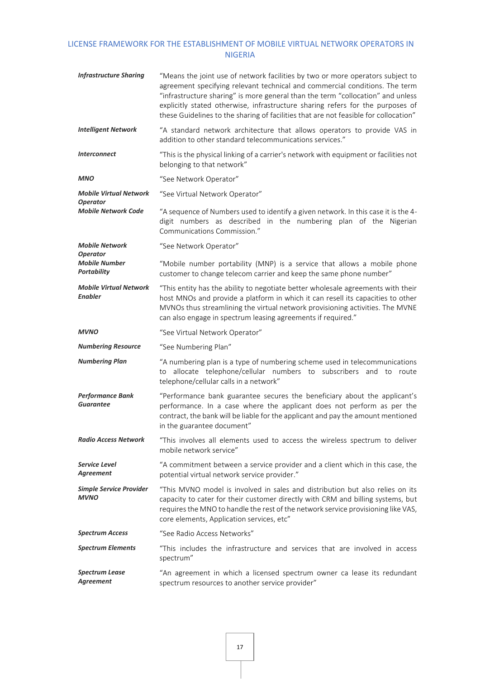| <b>Infrastructure Sharing</b>                                 | "Means the joint use of network facilities by two or more operators subject to<br>agreement specifying relevant technical and commercial conditions. The term<br>"infrastructure sharing" is more general than the term "collocation" and unless<br>explicitly stated otherwise, infrastructure sharing refers for the purposes of<br>these Guidelines to the sharing of facilities that are not feasible for collocation" |
|---------------------------------------------------------------|----------------------------------------------------------------------------------------------------------------------------------------------------------------------------------------------------------------------------------------------------------------------------------------------------------------------------------------------------------------------------------------------------------------------------|
| <b>Intelligent Network</b>                                    | "A standard network architecture that allows operators to provide VAS in<br>addition to other standard telecommunications services."                                                                                                                                                                                                                                                                                       |
| <b>Interconnect</b>                                           | "This is the physical linking of a carrier's network with equipment or facilities not<br>belonging to that network"                                                                                                                                                                                                                                                                                                        |
| <b>MNO</b>                                                    | "See Network Operator"                                                                                                                                                                                                                                                                                                                                                                                                     |
| <b>Mobile Virtual Network</b><br><b>Operator</b>              | "See Virtual Network Operator"                                                                                                                                                                                                                                                                                                                                                                                             |
| <b>Mobile Network Code</b>                                    | "A sequence of Numbers used to identify a given network. In this case it is the 4-<br>digit numbers as described in the numbering plan of the Nigerian<br>Communications Commission."                                                                                                                                                                                                                                      |
| <b>Mobile Network</b>                                         | "See Network Operator"                                                                                                                                                                                                                                                                                                                                                                                                     |
| <b>Operator</b><br><b>Mobile Number</b><br><b>Portability</b> | "Mobile number portability (MNP) is a service that allows a mobile phone<br>customer to change telecom carrier and keep the same phone number"                                                                                                                                                                                                                                                                             |
| <b>Mobile Virtual Network</b><br><b>Enabler</b>               | "This entity has the ability to negotiate better wholesale agreements with their<br>host MNOs and provide a platform in which it can resell its capacities to other<br>MVNOs thus streamlining the virtual network provisioning activities. The MVNE<br>can also engage in spectrum leasing agreements if required."                                                                                                       |
| <b>MVNO</b>                                                   | "See Virtual Network Operator"                                                                                                                                                                                                                                                                                                                                                                                             |
| <b>Numbering Resource</b>                                     | "See Numbering Plan"                                                                                                                                                                                                                                                                                                                                                                                                       |
| <b>Numbering Plan</b>                                         | "A numbering plan is a type of numbering scheme used in telecommunications<br>to allocate telephone/cellular numbers to subscribers and to route<br>telephone/cellular calls in a network"                                                                                                                                                                                                                                 |
|                                                               |                                                                                                                                                                                                                                                                                                                                                                                                                            |
| <b>Performance Bank</b><br><b>Guarantee</b>                   | "Performance bank guarantee secures the beneficiary about the applicant's<br>performance. In a case where the applicant does not perform as per the<br>contract, the bank will be liable for the applicant and pay the amount mentioned<br>in the guarantee document"                                                                                                                                                      |
| <b>Radio Access Network</b>                                   | "This involves all elements used to access the wireless spectrum to deliver<br>mobile network service"                                                                                                                                                                                                                                                                                                                     |
| <b>Service Level</b><br>Agreement                             | "A commitment between a service provider and a client which in this case, the<br>potential virtual network service provider."                                                                                                                                                                                                                                                                                              |
| <b>Simple Service Provider</b><br><b>MVNO</b>                 | "This MVNO model is involved in sales and distribution but also relies on its<br>capacity to cater for their customer directly with CRM and billing systems, but<br>requires the MNO to handle the rest of the network service provisioning like VAS,<br>core elements, Application services, etc"                                                                                                                         |
| <b>Spectrum Access</b>                                        | "See Radio Access Networks"                                                                                                                                                                                                                                                                                                                                                                                                |
| <b>Spectrum Elements</b>                                      | "This includes the infrastructure and services that are involved in access<br>spectrum"                                                                                                                                                                                                                                                                                                                                    |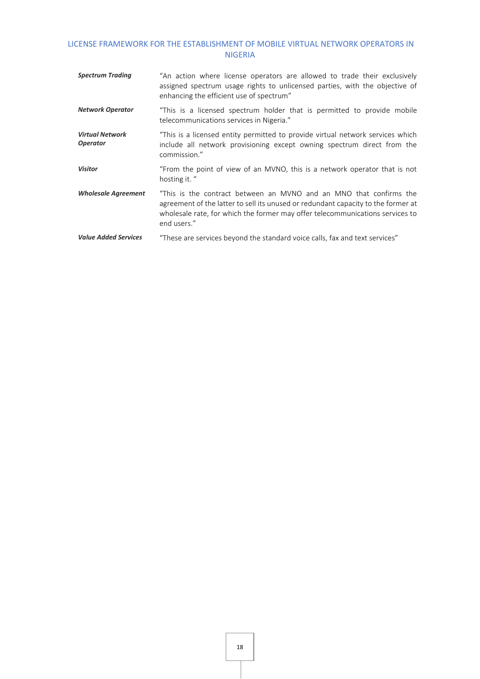| <b>Spectrum Trading</b>                   | "An action where license operators are allowed to trade their exclusively<br>assigned spectrum usage rights to unlicensed parties, with the objective of<br>enhancing the efficient use of spectrum"                                                    |
|-------------------------------------------|---------------------------------------------------------------------------------------------------------------------------------------------------------------------------------------------------------------------------------------------------------|
| <b>Network Operator</b>                   | "This is a licensed spectrum holder that is permitted to provide mobile<br>telecommunications services in Nigeria."                                                                                                                                     |
| <b>Virtual Network</b><br><b>Operator</b> | "This is a licensed entity permitted to provide virtual network services which<br>include all network provisioning except owning spectrum direct from the<br>commission."                                                                               |
| <b>Visitor</b>                            | "From the point of view of an MVNO, this is a network operator that is not<br>hosting it. "                                                                                                                                                             |
| <b>Wholesale Agreement</b>                | "This is the contract between an MVNO and an MNO that confirms the<br>agreement of the latter to sell its unused or redundant capacity to the former at<br>wholesale rate, for which the former may offer telecommunications services to<br>end users." |
| <b>Value Added Services</b>               | "These are services beyond the standard voice calls, fax and text services"                                                                                                                                                                             |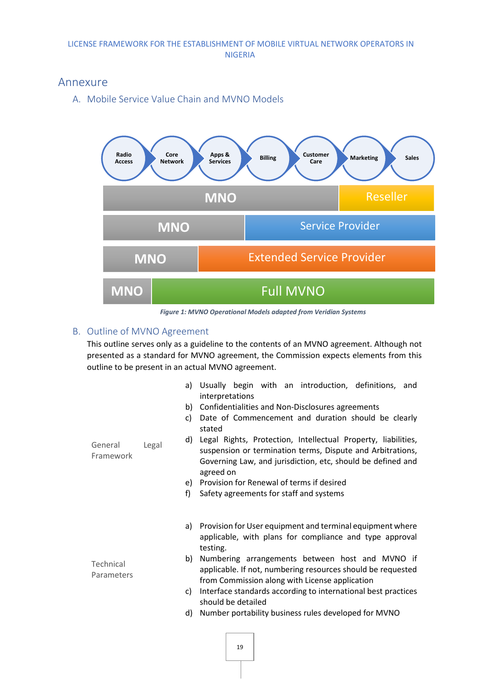### <span id="page-21-1"></span><span id="page-21-0"></span>Annexure

A. Mobile Service Value Chain and MVNO Models



*Figure 1: MVNO Operational Models adapted from Veridian Systems*

#### <span id="page-21-2"></span>B. Outline of MVNO Agreement

This outline serves only as a guideline to the contents of an MVNO agreement. Although not presented as a standard for MVNO agreement, the Commission expects elements from this outline to be present in an actual MVNO agreement.

| General<br>Framework    | a)<br>b)<br>C)<br>d)<br>Legal<br>e)<br>f) | Usually begin with an introduction, definitions, and<br>interpretations<br>Confidentialities and Non-Disclosures agreements<br>Date of Commencement and duration should be clearly<br>stated<br>Legal Rights, Protection, Intellectual Property, liabilities,<br>suspension or termination terms, Dispute and Arbitrations,<br>Governing Law, and jurisdiction, etc, should be defined and<br>agreed on<br>Provision for Renewal of terms if desired<br>Safety agreements for staff and systems |
|-------------------------|-------------------------------------------|-------------------------------------------------------------------------------------------------------------------------------------------------------------------------------------------------------------------------------------------------------------------------------------------------------------------------------------------------------------------------------------------------------------------------------------------------------------------------------------------------|
|                         | a)                                        | Provision for User equipment and terminal equipment where<br>applicable, with plans for compliance and type approval<br>testing.                                                                                                                                                                                                                                                                                                                                                                |
| Technical<br>Parameters | b)                                        | Numbering arrangements between host and MVNO if<br>applicable. If not, numbering resources should be requested<br>from Commission along with License application                                                                                                                                                                                                                                                                                                                                |
|                         | c)                                        | Interface standards according to international best practices<br>should be detailed                                                                                                                                                                                                                                                                                                                                                                                                             |
|                         | d)                                        | Number portability business rules developed for MVNO                                                                                                                                                                                                                                                                                                                                                                                                                                            |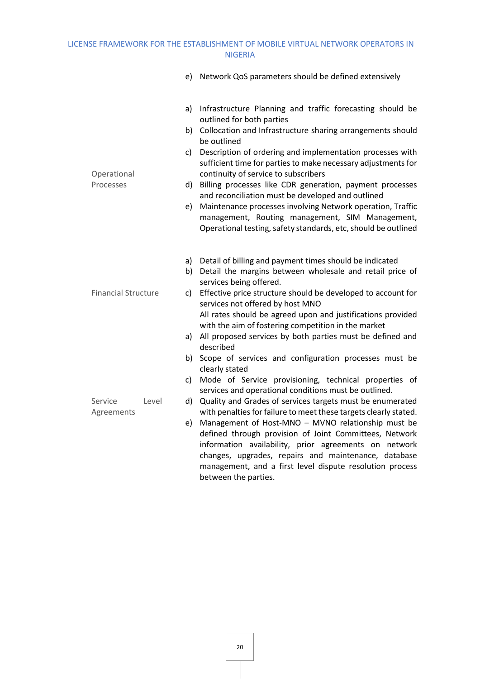|                                  |                      | e) Network QoS parameters should be defined extensively                                                                                                                                                                                                                                                                                                                                                                                                                                                                                                                                                                                                      |
|----------------------------------|----------------------|--------------------------------------------------------------------------------------------------------------------------------------------------------------------------------------------------------------------------------------------------------------------------------------------------------------------------------------------------------------------------------------------------------------------------------------------------------------------------------------------------------------------------------------------------------------------------------------------------------------------------------------------------------------|
|                                  | b)<br>c)             | a) Infrastructure Planning and traffic forecasting should be<br>outlined for both parties<br>Collocation and Infrastructure sharing arrangements should<br>be outlined<br>Description of ordering and implementation processes with                                                                                                                                                                                                                                                                                                                                                                                                                          |
| Operational<br>Processes         | d)<br>e)             | sufficient time for parties to make necessary adjustments for<br>continuity of service to subscribers<br>Billing processes like CDR generation, payment processes<br>and reconciliation must be developed and outlined<br>Maintenance processes involving Network operation, Traffic<br>management, Routing management, SIM Management,<br>Operational testing, safety standards, etc, should be outlined                                                                                                                                                                                                                                                    |
| <b>Financial Structure</b><br>c) |                      | a) Detail of billing and payment times should be indicated<br>b) Detail the margins between wholesale and retail price of<br>services being offered.<br>Effective price structure should be developed to account for<br>services not offered by host MNO<br>All rates should be agreed upon and justifications provided<br>with the aim of fostering competition in the market<br>a) All proposed services by both parties must be defined and                                                                                                                                                                                                               |
| Service<br>Level<br>Agreements   | b)<br>c)<br>d)<br>e) | described<br>Scope of services and configuration processes must be<br>clearly stated<br>Mode of Service provisioning, technical properties of<br>services and operational conditions must be outlined.<br>Quality and Grades of services targets must be enumerated<br>with penalties for failure to meet these targets clearly stated.<br>Management of Host-MNO - MVNO relationship must be<br>defined through provision of Joint Committees, Network<br>information availability, prior agreements on network<br>changes, upgrades, repairs and maintenance, database<br>management, and a first level dispute resolution process<br>between the parties. |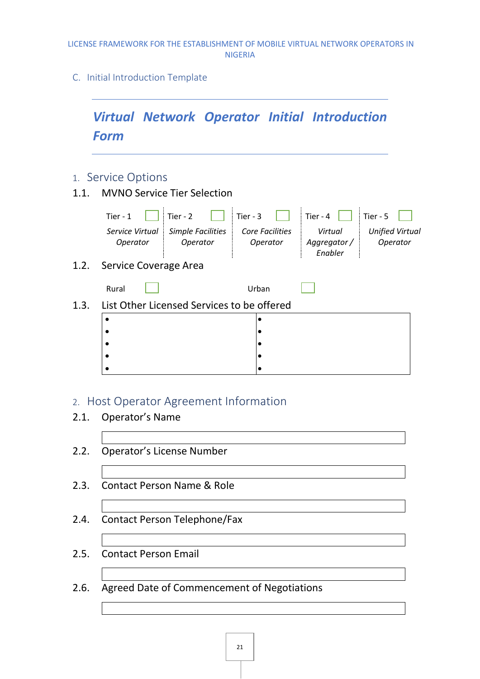<span id="page-23-0"></span>C. Initial Introduction Template

<span id="page-23-1"></span>

### <span id="page-23-2"></span>2. Host Operator Agreement Information

- 2.1. Operator's Name
- 2.2. Operator's License Number
- 2.3. Contact Person Name & Role
- 2.4. Contact Person Telephone/Fax
- 2.5. Contact Person Email
- 2.6. Agreed Date of Commencement of Negotiations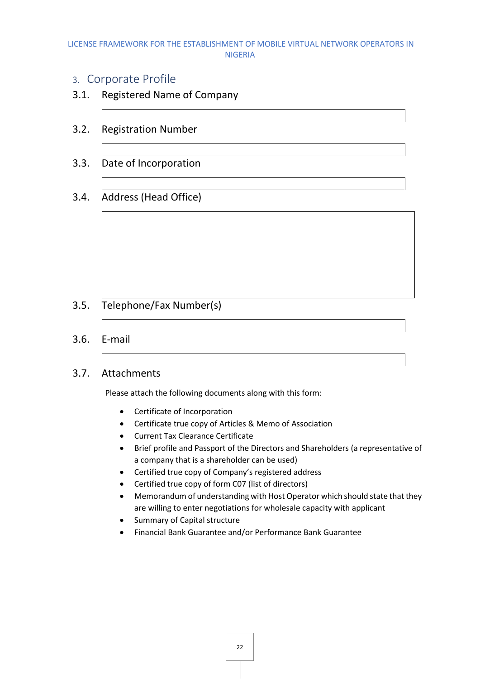### <span id="page-24-0"></span>3. Corporate Profile

- 3.1. Registered Name of Company
- 3.2. Registration Number
- 3.3. Date of Incorporation
- 3.4. Address (Head Office)

- 3.5. Telephone/Fax Number(s)
- 3.6. E-mail
- 3.7. Attachments

Please attach the following documents along with this form:

- Certificate of Incorporation
- Certificate true copy of Articles & Memo of Association
- Current Tax Clearance Certificate
- Brief profile and Passport of the Directors and Shareholders (a representative of a company that is a shareholder can be used)
- Certified true copy of Company's registered address
- Certified true copy of form C07 (list of directors)
- Memorandum of understanding with Host Operator which should state that they are willing to enter negotiations for wholesale capacity with applicant
- Summary of Capital structure
- Financial Bank Guarantee and/or Performance Bank Guarantee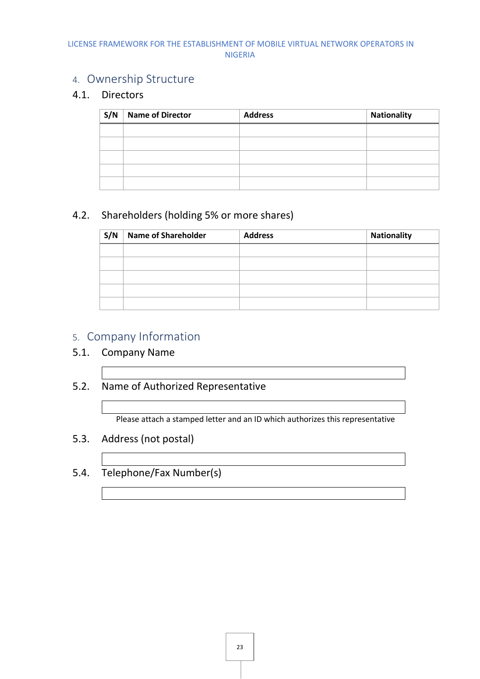### <span id="page-25-0"></span>4. Ownership Structure

### 4.1. Directors

| S/N | <b>Name of Director</b> | <b>Address</b> | Nationality |
|-----|-------------------------|----------------|-------------|
|     |                         |                |             |
|     |                         |                |             |
|     |                         |                |             |
|     |                         |                |             |
|     |                         |                |             |

### 4.2. Shareholders (holding 5% or more shares)

| S/N | <b>Name of Shareholder</b> | <b>Address</b> | <b>Nationality</b> |
|-----|----------------------------|----------------|--------------------|
|     |                            |                |                    |
|     |                            |                |                    |
|     |                            |                |                    |
|     |                            |                |                    |
|     |                            |                |                    |

# <span id="page-25-1"></span>5. Company Information

### 5.1. Company Name

5.2. Name of Authorized Representative

Please attach a stamped letter and an ID which authorizes this representative

- 5.3. Address (not postal)
- 5.4. Telephone/Fax Number(s)